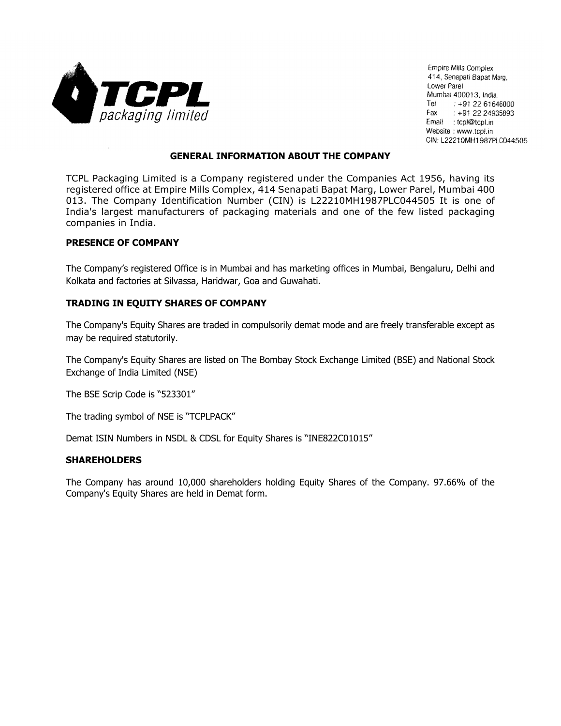

**Empire Mills Complex** 414, Senapati Bapat Marg, Lower Parel Mumbai 400013, India. Tel :  $+912261646000$ Fax  $\pm$  +91 22 24935893 Email : tcpl@tcpl.in Website: www.tcpl.in CIN: L22210MH1987PLC044505

## **GENERAL INFORMATION ABOUT THE COMPANY**

TCPL Packaging Limited is a Company registered under the Companies Act 1956, having its registered office at Empire Mills Complex, 414 Senapati Bapat Marg, Lower Parel, Mumbai 400 013. The Company Identification Number (CIN) is L22210MH1987PLC044505 It is one of India's largest manufacturers of packaging materials and one of the few listed packaging companies in India.

#### **PRESENCE OF COMPANY**

The Company's registered Office is in Mumbai and has marketing offices in Mumbai, Bengaluru, Delhi and Kolkata and factories at Silvassa, Haridwar, Goa and Guwahati.

## **TRADING IN EQUITY SHARES OF COMPANY**

The Company's Equity Shares are traded in compulsorily demat mode and are freely transferable except as may be required statutorily.

The Company's Equity Shares are listed on The Bombay Stock Exchange Limited (BSE) and National Stock Exchange of India Limited (NSE)

The BSE Scrip Code is "523301"

The trading symbol of NSE is "TCPLPACK"

Demat ISIN Numbers in NSDL & CDSL for Equity Shares is "INE822C01015"

#### **SHAREHOLDERS**

The Company has around 10,000 shareholders holding Equity Shares of the Company. 97.66% of the Company's Equity Shares are held in Demat form.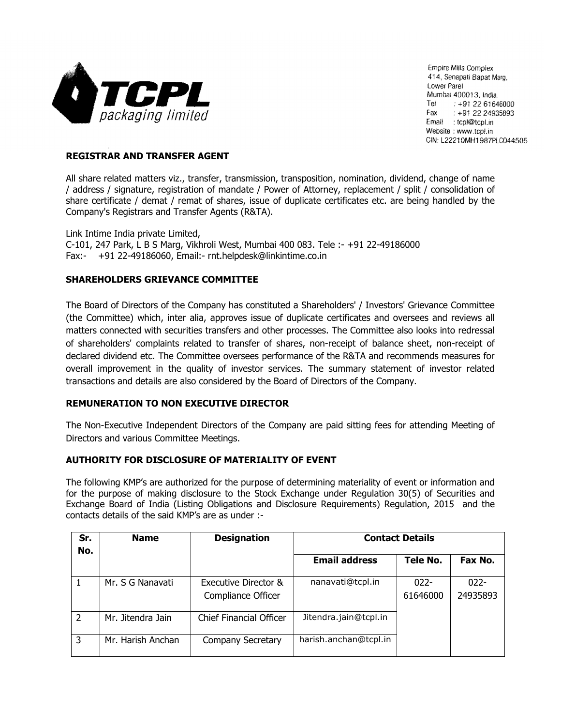

**Empire Mills Complex** 414, Senapati Bapat Marg, Lower Parel Mumbai 400013, India. Tel :  $+912261646000$ Fax  $\pm$  +91 22 24935893 Email : tcpl@tcpl.in Website: www.tcpl.in CIN: L22210MH1987PLC044505

# **REGISTRAR AND TRANSFER AGENT**

All share related matters viz., transfer, transmission, transposition, nomination, dividend, change of name / address / signature, registration of mandate / Power of Attorney, replacement / split / consolidation of share certificate / demat / remat of shares, issue of duplicate certificates etc. are being handled by the Company's Registrars and Transfer Agents (R&TA).

Link Intime India private Limited, C-101, 247 Park, L B S Marg, Vikhroli West, Mumbai 400 083. Tele :- +91 22-49186000 Fax:- +91 22-49186060, Email:- rnt.helpdesk@linkintime.co.in

## **SHAREHOLDERS GRIEVANCE COMMITTEE**

The Board of Directors of the Company has constituted a Shareholders' / Investors' Grievance Committee (the Committee) which, inter alia, approves issue of duplicate certificates and oversees and reviews all matters connected with securities transfers and other processes. The Committee also looks into redressal of shareholders' complaints related to transfer of shares, non-receipt of balance sheet, non-receipt of declared dividend etc. The Committee oversees performance of the R&TA and recommends measures for overall improvement in the quality of investor services. The summary statement of investor related transactions and details are also considered by the Board of Directors of the Company.

# **REMUNERATION TO NON EXECUTIVE DIRECTOR**

The Non-Executive Independent Directors of the Company are paid sitting fees for attending Meeting of Directors and various Committee Meetings.

## **AUTHORITY FOR DISCLOSURE OF MATERIALITY OF EVENT**

The following KMP's are authorized for the purpose of determining materiality of event or information and for the purpose of making disclosure to the Stock Exchange under Regulation 30(5) of Securities and Exchange Board of India (Listing Obligations and Disclosure Requirements) Regulation, 2015 and the contacts details of the said KMP's are as under :-

| Sr.<br>No.     | <b>Name</b>       | <b>Designation</b>                         | <b>Contact Details</b> |                     |                     |
|----------------|-------------------|--------------------------------------------|------------------------|---------------------|---------------------|
|                |                   |                                            | <b>Email address</b>   | Tele No.            | Fax No.             |
|                | Mr. S G Nanavati  | Executive Director &<br>Compliance Officer | nanavati@tcpl.in       | $022 -$<br>61646000 | $022 -$<br>24935893 |
| $\overline{2}$ | Mr. Jitendra Jain | <b>Chief Financial Officer</b>             | Jitendra.jain@tcpl.in  |                     |                     |
| 3              | Mr. Harish Anchan | Company Secretary                          | harish.anchan@tcpl.in  |                     |                     |